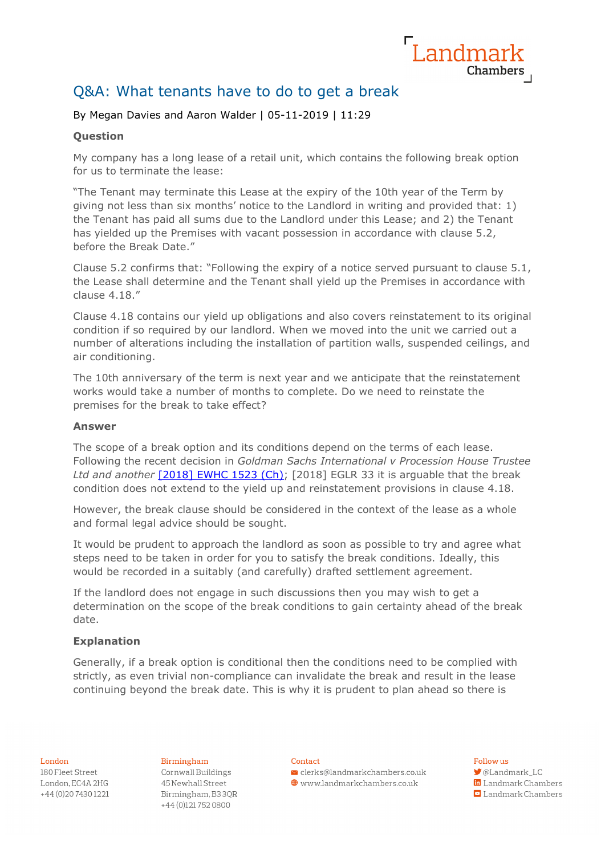

# Q&A: What tenants have to do to get a break

# By Megan Davies and Aaron Walder | 05-11-2019 | 11:29

# **Question**

My company has a long lease of a retail unit, which contains the following break option for us to terminate the lease:

"The Tenant may terminate this Lease at the expiry of the 10th year of the Term by giving not less than six months' notice to the Landlord in writing and provided that: 1) the Tenant has paid all sums due to the Landlord under this Lease; and 2) the Tenant has yielded up the Premises with vacant possession in accordance with clause 5.2, before the Break Date."

Clause 5.2 confirms that: "Following the expiry of a notice served pursuant to clause 5.1, the Lease shall determine and the Tenant shall yield up the Premises in accordance with clause 4.18."

Clause 4.18 contains our yield up obligations and also covers reinstatement to its original condition if so required by our landlord. When we moved into the unit we carried out a number of alterations including the installation of partition walls, suspended ceilings, and air conditioning.

The 10th anniversary of the term is next year and we anticipate that the reinstatement works would take a number of months to complete. Do we need to reinstate the premises for the break to take effect?

## **Answer**

The scope of a break option and its conditions depend on the terms of each lease. Following the recent decision in *Goldman Sachs International v Procession House Trustee Ltd and another* [\[2018\] EWHC 1523 \(Ch\);](http://wordpress.egi.co.uk/https:/wordpress.egi.co.uk/legal/goldman-sachs-international-v-procession-house-trustee-ltd-and-another-3/) [2018] EGLR 33 it is arguable that the break condition does not extend to the yield up and reinstatement provisions in clause 4.18.

However, the break clause should be considered in the context of the lease as a whole and formal legal advice should be sought.

It would be prudent to approach the landlord as soon as possible to try and agree what steps need to be taken in order for you to satisfy the break conditions. Ideally, this would be recorded in a suitably (and carefully) drafted settlement agreement.

If the landlord does not engage in such discussions then you may wish to get a determination on the scope of the break conditions to gain certainty ahead of the break date.

# **Explanation**

Generally, if a break option is conditional then the conditions need to be complied with strictly, as even trivial non-compliance can invalidate the break and result in the lease continuing beyond the break date. This is why it is prudent to plan ahead so there is

#### London

180 Fleet Street London, EC4A 2HG +44 (0) 20 7430 1221 Birmingham Cornwall Buildings 45 Newhall Street Birmingham, B33QR +44 (0)1217520800

#### Contact

 $\vee$  clerks@landmarkchambers.co.uk  $\textcolor{blue}{\bigoplus}$  www.landmarkchambers.co.uk

## Follow us

**J**@Landmark\_LC in Landmark Chambers  $\Box$  Landmark Chambers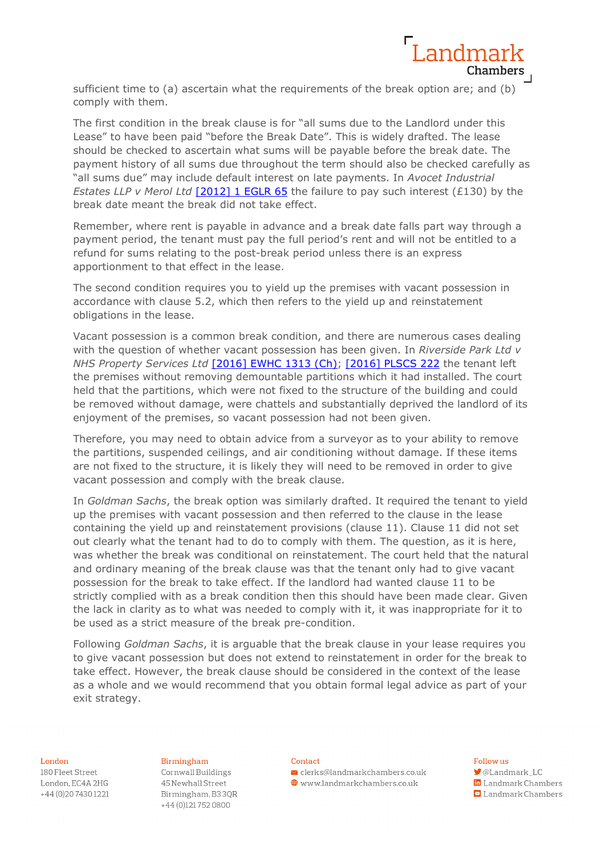

sufficient time to (a) ascertain what the requirements of the break option are; and (b) comply with them.

The first condition in the break clause is for "all sums due to the Landlord under this Lease" to have been paid "before the Break Date". This is widely drafted. The lease should be checked to ascertain what sums will be payable before the break date. The payment history of all sums due throughout the term should also be checked carefully as "all sums due" may include default interest on late payments. In *Avocet Industrial Estates LLP v Merol Ltd* [\[2012\] 1 EGLR 65](http://wordpress.egi.co.uk/https:/wordpress.egi.co.uk/legal/avocet-industrial-estates-llp-v-merol-ltd-and-another/) the failure to pay such interest (£130) by the break date meant the break did not take effect.

Remember, where rent is payable in advance and a break date falls part way through a payment period, the tenant must pay the full period's rent and will not be entitled to a refund for sums relating to the post-break period unless there is an express apportionment to that effect in the lease.

The second condition requires you to yield up the premises with vacant possession in accordance with clause 5.2, which then refers to the yield up and reinstatement obligations in the lease.

Vacant possession is a common break condition, and there are numerous cases dealing with the question of whether vacant possession has been given. In *Riverside Park Ltd v NHS Property Services Ltd* [\[2016\] EWHC 1313 \(Ch\);](http://wordpress.egi.co.uk/https:/wordpress.egi.co.uk/legal/riverside-park-ltd-v-nhs-property-services-ltd-2/) [\[2016\] PLSCS 222](http://wordpress.egi.co.uk/https:/wordpress.egi.co.uk/legal/riverside-park-ltd-v-nhs-property-services-ltd/) the tenant left the premises without removing demountable partitions which it had installed. The court held that the partitions, which were not fixed to the structure of the building and could be removed without damage, were chattels and substantially deprived the landlord of its enjoyment of the premises, so vacant possession had not been given.

Therefore, you may need to obtain advice from a surveyor as to your ability to remove the partitions, suspended ceilings, and air conditioning without damage. If these items are not fixed to the structure, it is likely they will need to be removed in order to give vacant possession and comply with the break clause.

In *Goldman Sachs*, the break option was similarly drafted. It required the tenant to yield up the premises with vacant possession and then referred to the clause in the lease containing the yield up and reinstatement provisions (clause 11). Clause 11 did not set out clearly what the tenant had to do to comply with them. The question, as it is here, was whether the break was conditional on reinstatement. The court held that the natural and ordinary meaning of the break clause was that the tenant only had to give vacant possession for the break to take effect. If the landlord had wanted clause 11 to be strictly complied with as a break condition then this should have been made clear. Given the lack in clarity as to what was needed to comply with it, it was inappropriate for it to be used as a strict measure of the break pre-condition.

Following *Goldman Sachs*, it is arguable that the break clause in your lease requires you to give vacant possession but does not extend to reinstatement in order for the break to take effect. However, the break clause should be considered in the context of the lease as a whole and we would recommend that you obtain formal legal advice as part of your exit strategy.

#### London

180 Fleet Street London, EC4A 2HG +44 (0) 20 7430 1221 Birmingham Cornwall Buildings 45 Newhall Street Birmingham, B33QR +44 (0)1217520800

#### Contact

 $\blacktriangleright$  clerks@landmarkchambers.co.uk  $\textcolor{blue}{\bigoplus}$  www.landmarkchambers.co.uk

## Follow us

**J**@Landmark\_LC in Landmark Chambers

 $\Box$  Landmark Chambers